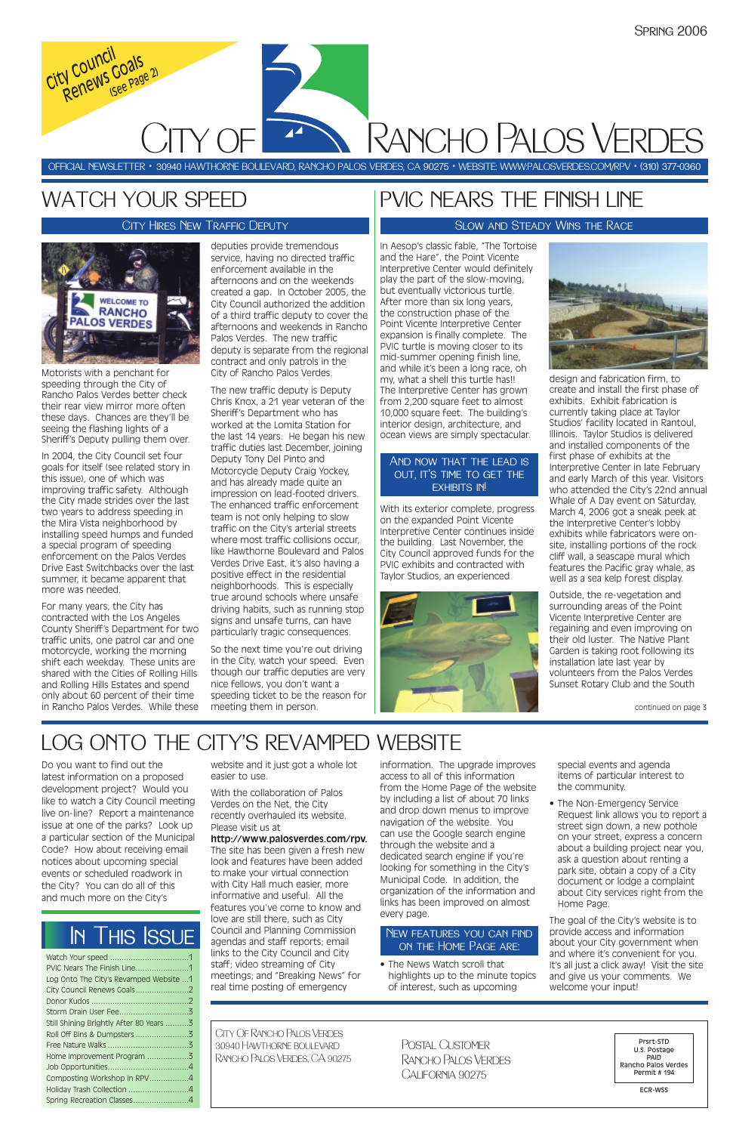Do you want to find out the latest information on a proposed development project? Would you like to watch a City Council meeting live on-line? Report a maintenance issue at one of the parks? Look up a particular section of the Municipal Code? How about receiving email notices about upcoming special events or scheduled roadwork in the City? You can do all of this and much more on the City's

website and it just got a whole lot easier to use.

With the collaboration of Palos Verdes on the Net, the City recently overhauled its website. Please visit us at **http://www.palosverdes.com/rpv.** The site has been given a fresh new look and features have been added to make your virtual connection with City Hall much easier, more informative and useful. All the features you've come to know and love are still there, such as City Council and Planning Commission agendas and staff reports; email links to the City Council and City staff; video streaming of City meetings; and "Breaking News" for real time posting of emergency

information. The upgrade improves access to all of this information from the Home Page of the website by including a list of about 70 links and drop down menus to improve navigation of the website. You can use the Google search engine through the website and a dedicated search engine if you're looking for something in the City's Municipal Code. In addition, the organization of the information and links has been improved on almost every page.

• The News Watch scroll that highlights up to the minute topics of interest, such as upcoming

special events and agenda items of particular interest to the community.

• The Non-Emergency Service Request link allows you to report a street sign down, a new pothole

on your street, express a concern about a building project near you, ask a question about renting a park site, obtain a copy of a City document or lodge a complaint about City services right from the Home Page.

The goal of the City's website is to provide access and information about your City government when and where it's convenient for you. It's all just a click away! Visit the site and give us your comments. We welcome your input!

| PVIC Nears The Finish Line1             |  |
|-----------------------------------------|--|
| Log Onto The City's Revamped Website 1  |  |
|                                         |  |
|                                         |  |
|                                         |  |
| Still Shining Brightly After 80 Years 3 |  |
| Roll Off Bins & Dumpsters3              |  |
|                                         |  |
| Home Improvement Program 3              |  |
|                                         |  |
| Composting Workshop In RPV4             |  |
| Holiday Trash Collection 4              |  |
| Spring Recreation Classes4              |  |

Motorists with a penchant for speeding through the City of Rancho Palos Verdes better check their rear view mirror more often these days. Chances are they'll be seeing the flashing lights of a Sheriff's Deputy pulling them over.

In 2004, the City Council set four goals for itself (see related story in this issue), one of which was improving traffic safety. Although the City made strides over the last two years to address speeding in the Mira Vista neighborhood by installing speed humps and funded a special program of speeding enforcement on the Palos Verdes Drive East Switchbacks over the last summer, it became apparent that more was needed.

CITY OF Rancho Palos Verdes *Renews Goals (See Page 2)*

For many years, the City has contracted with the Los Angeles County Sheriff's Department for two traffic units, one patrol car and one motorcycle, working the morning shift each weekday. These units are shared with the Cities of Rolling Hills and Rolling Hills Estates and spend only about 60 percent of their time in Rancho Palos Verdes. While these

deputies provide tremendous service, having no directed traffic enforcement available in the afternoons and on the weekends created a gap. In October 2005, the City Council authorized the addition of a third traffic deputy to cover the afternoons and weekends in Rancho Palos Verdes. The new traffic deputy is separate from the regional contract and only patrols in the City of Rancho Palos Verdes.

### And now that the lead is OUT, IT'S TIME TO GET THE **EXHIBITS IN!**

The new traffic deputy is Deputy Chris Knox, a 21 year veteran of the Sheriff's Department who has worked at the Lomita Station for the last 14 years. He began his new traffic duties last December, joining Deputy Tony Del Pinto and Motorcycle Deputy Craig Yockey, and has already made quite an impression on lead-footed drivers. The enhanced traffic enforcement team is not only helping to slow traffic on the City's arterial streets where most traffic collisions occur, like Hawthorne Boulevard and Palos Verdes Drive East, it's also having a positive effect in the residential neighborhoods. This is especially true around schools where unsafe driving habits, such as running stop signs and unsafe turns, can have particularly tragic consequences.

So the next time you're out driving in the City, watch your speed. Even though our traffic deputies are very nice fellows, you don't want a speeding ticket to be the reason for meeting them in person.

## WATCH YOUR SPEED

OFFICIAL NEWSLETTER • 30940 HAWTHORNE BOULEVARD, RANCHO PALOS VERDES, CA 90275 • WEBSITE: WWW:PALOSVERDES.COM/RPV • (310) 377-0360

City Of Rancho Palos Verdes 30940 Hawthorne boulevard Rancho Palos Verdes, CA 90275

Prsrt-STD U.S. Postage PAID Rancho Palos Verdes Permit # 194

ECR-WSS

Postal CustomerRancho Palos Verdes California 90275

## In This Issue

### City Hires New Traffic Deputy



# LOG ONTO THE CITY'S REVAMPED WEBSITE

*City Council* 

### New features you can find on the Home Page are:

In Aesop's classic fable, "The Tortoise and the Hare", the Point Vicente Interpretive Center would definitely play the part of the slow-moving, but eventually victorious turtle. After more than six long years, the construction phase of the Point Vicente Interpretive Center expansion is finally complete. The PVIC turtle is moving closer to its mid-summer opening finish line, and while it's been a long race, oh my, what a shell this turtle has!! The Interpretive Center has grown from 2,200 square feet to almost 10,000 square feet. The building's interior design, architecture, and ocean views are simply spectacular.

With its exterior complete, progress on the expanded Point Vicente Interpretive Center continues inside the building. Last November, the City Council approved funds for the PVIC exhibits and contracted with Taylor Studios, an experienced





design and fabrication firm, to create and install the first phase of exhibits. Exhibit fabrication is currently taking place at Taylor Studios' facility located in Rantoul, Illinois. Taylor Studios is delivered and installed components of the first phase of exhibits at the Interpretive Center in late February and early March of this year. Visitors who attended the City's 22nd annual Whale of A Day event on Saturday, March 4, 2006 got a sneak peek at the Interpretive Center's lobby exhibits while fabricators were onsite, installing portions of the rock cliff wall, a seascape mural which features the Pacific gray whale, as well as a sea kelp forest display.

Outside, the re-vegetation and surrounding areas of the Point Vicente Interpretive Center are regaining and even improving on their old luster. The Native Plant Garden is taking root following its installation late last year by volunteers from the Palos Verdes Sunset Rotary Club and the South

## PVIC NEARS THE FINISH LINE

### Slow and Steady Wins the Race

continued on page 3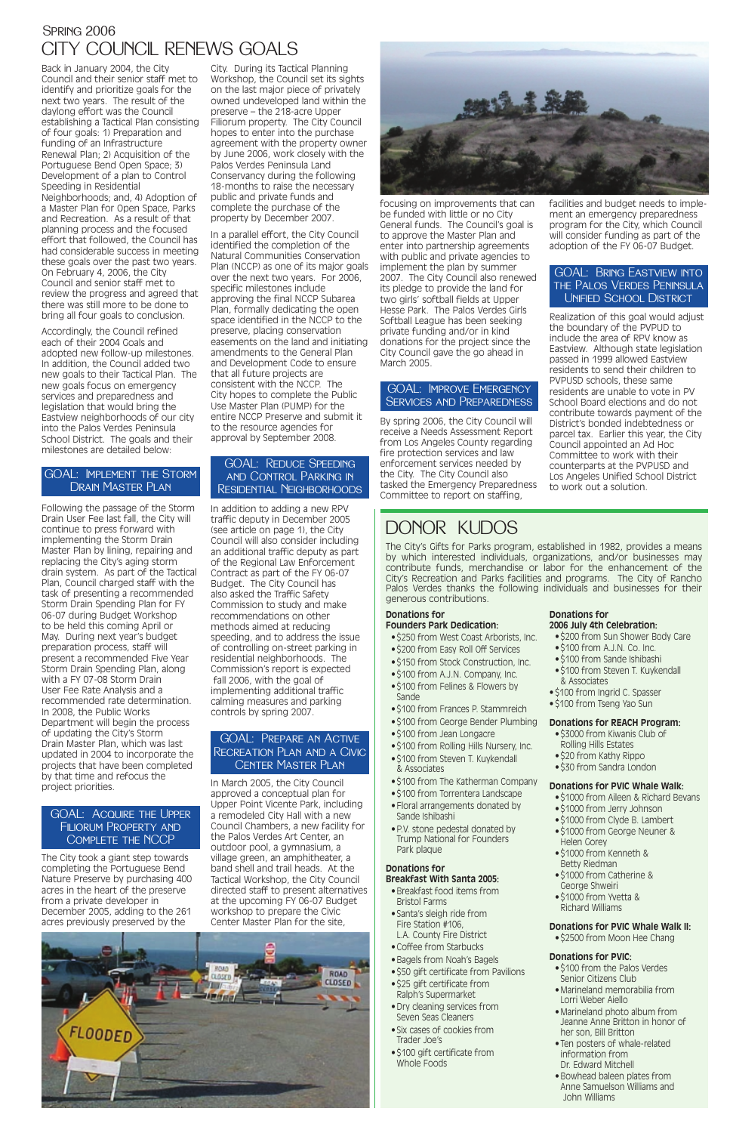## CITY COUNCIL RENEWS GOALS SPRING 2006

Back in January 2004, the City Council and their senior staff met to identify and prioritize goals for the next two years. The result of the daylong effort was the Council establishing a Tactical Plan consisting of four goals: 1) Preparation and funding of an Infrastructure Renewal Plan; 2) Acquisition of the Portuguese Bend Open Space; 3) Development of a plan to Control Speeding in Residential Neighborhoods; and, 4) Adoption of a Master Plan for Open Space, Parks and Recreation. As a result of that planning process and the focused effort that followed, the Council has had considerable success in meeting these goals over the past two years. On February 4, 2006, the City Council and senior staff met to review the progress and agreed that there was still more to be done to bring all four goals to conclusion.

Accordingly, the Council refined each of their 2004 Goals and adopted new follow-up milestones. In addition, the Council added two new goals to their Tactical Plan. The new goals focus on emergency services and preparedness and legislation that would bring the Eastview neighborhoods of our city into the Palos Verdes Peninsula School District. The goals and their milestones are detailed below:

Following the passage of the Storm Drain User Fee last fall, the City will continue to press forward with implementing the Storm Drain Master Plan by lining, repairing and replacing the City's aging storm drain system. As part of the Tactical Plan, Council charged staff with the task of presenting a recommended Storm Drain Spending Plan for FY 06-07 during Budget Workshop to be held this coming April or May. During next year's budget preparation process, staff will present a recommended Five Year Storm Drain Spending Plan, along with a FY 07-08 Storm Drain User Fee Rate Analysis and a recommended rate determination. In 2008, the Public Works Department will begin the process of updating the City's Storm Drain Master Plan, which was last updated in 2004 to incorporate the projects that have been completed by that time and refocus the project priorities.

The City took a giant step towards completing the Portuguese Bend Nature Preserve by purchasing 400 acres in the heart of the preserve from a private developer in December 2005, adding to the 261 acres previously preserved by the



City. During its Tactical Planning Workshop, the Council set its sights on the last major piece of privately owned undeveloped land within the preserve – the 218-acre Upper Filiorum property. The City Council hopes to enter into the purchase agreement with the property owner by June 2006, work closely with the Palos Verdes Peninsula Land Conservancy during the following 18-months to raise the necessary public and private funds and complete the purchase of the property by December 2007.

#### GOAL: ACQUIRE THE UPPER Filiorum Property and

In a parallel effort, the City Council identified the completion of the Natural Communities Conservation Plan (NCCP) as one of its major goals over the next two years. For 2006, specific milestones include approving the final NCCP Subarea Plan, formally dedicating the open space identified in the NCCP to the preserve, placing conservation easements on the land and initiating amendments to the General Plan and Development Code to ensure that all future projects are consistent with the NCCP. The City hopes to complete the Public Use Master Plan (PUMP) for the entire NCCP Preserve and submit it to the resource agencies for approval by September 2008.

In addition to adding a new RPV traffic deputy in December 2005 (see article on page 1), the City Council will also consider including an additional traffic deputy as part of the Regional Law Enforcement Contract as part of the FY 06-07 Budget. The City Council has also asked the Traffic Safety Commission to study and make recommendations on other methods aimed at reducing speeding, and to address the issue of controlling on-street parking in residential neighborhoods. The Commission's report is expected fall 2006, with the goal of implementing additional traffic calming measures and parking controls by spring 2007.

In March 2005, the City Council approved a conceptual plan for Upper Point Vicente Park, including a remodeled City Hall with a new Council Chambers, a new facility for the Palos Verdes Art Center, an outdoor pool, a gymnasium, a village green, an amphitheater, a band shell and trail heads. At the Tactical Workshop, the City Council directed staff to present alternatives at the upcoming FY 06-07 Budget workshop to prepare the Civic Center Master Plan for the site,



focusing on improvements that can be funded with little or no City General funds. The Council's goal is to approve the Master Plan and enter into partnership agreements with public and private agencies to implement the plan by summer 2007. The City Council also renewed its pledge to provide the land for two girls' softball fields at Upper Hesse Park. The Palos Verdes Girls Softball League has been seeking private funding and/or in kind donations for the project since the City Council gave the go ahead in March 2005.

By spring 2006, the City Council will receive a Needs Assessment Report from Los Angeles County regarding fire protection services and law enforcement services needed by the City. The City Council also tasked the Emergency Preparedness Committee to report on staffing,

#### facilities and budget needs to implement an emergency preparedness program for the City, which Council will consider funding as part of the adoption of the FY 06-07 Budget.

Realization of this goal would adjust the boundary of the PVPUD to include the area of RPV know as Eastview. Although state legislation passed in 1999 allowed Eastview residents to send their children to PVPUSD schools, these same residents are unable to vote in PV School Board elections and do not contribute towards payment of the District's bonded indebtedness or parcel tax. Earlier this year, the City Council appointed an Ad Hoc Committee to work with their counterparts at the PVPUSD and Los Angeles Unified School District to work out a solution.

### GOAL: Implement the Storm Drain Master Plan

### Complete the NCCP

### GOAL: Reduce Speeding and Control Parking in Residential Neighborhoods

### GOAL: Prepare an ActiveRecreation Plan and a CivicCenter Master Plan

### GOAL: Improve Emergency Services and Preparedness

### GOAL: Bring Eastview into the Palos Verdes Peninsula Unified School District

## **Donations for**

#### **Founders Park Dedication:**

- \$250 from West Coast Arborists, Inc.
- \$200 from Easy Roll Off Services
- \$150 from Stock Construction, Inc.
- \$100 from A.J.N. Company, Inc.
- \$100 from Felines & Flowers by
- Sande
- \$100 from Frances P. Stammreich
- \$100 from George Bender Plumbing
- \$100 from Jean Longacre
- \$100 from Rolling Hills Nursery, Inc.
- \$100 from Steven T. Kuykendall & Associates
- \$100 from The Katherman Company
- \$100 from Torrentera Landscape
- Floral arrangements donated by Sande Ishibashi
- P.V. stone pedestal donated by

Trump National for Founders Park plaque

#### **Donations for Breakfast With Santa 2005:**

- Breakfast food items from Bristol Farms
- Santa's sleigh ride from Fire Station #106, L.A. County Fire District
- Coffee from Starbucks
- Bagels from Noah's Bagels
- \$50 gift certificate from Pavilions
- \$25 gift certificate from Ralph's Supermarket
- Dry cleaning services from Seven Seas Cleaners
- Six cases of cookies from Trader Joe's
- \$100 gift certificate from Whole Foods

## **Donations for**

- **2006 July 4th Celebration:** • \$200 from Sun Shower Body Care
- \$100 from A.J.N. Co. Inc.
- \$100 from Sande Ishibashi
- \$100 from Steven T. Kuykendall & Associates
- \$100 from Ingrid C. Spasser
- \$100 from Tseng Yao Sun

#### **Donations for REACH Program:**

- \$3000 from Kiwanis Club of Rolling Hills Estates
- \$20 from Kathy Rippo
- \$30 from Sandra London

#### **Donations for PVIC Whale Walk:**

- \$1000 from Aileen & Richard Bevans
- \$1000 from Jerry Johnson
- \$1000 from Clyde B. Lambert
- 
- \$1000 from George Neuner & Helen Gorey
- \$1000 from Kenneth & Betty Riedman
- \$1000 from Catherine & George Shweiri
- \$1000 from Yvetta & Richard Williams

#### **Donations for PVIC Whale Walk II:**

• \$2500 from Moon Hee Chang

#### **Donations for PVIC:**

- \$100 from the Palos Verdes Senior Citizens Club
- Marineland memorabilia from Lorri Weber Aiello
- Marineland photo album from Jeanne Anne Britton in honor of her son, Bill Britton
- Ten posters of whale-related information from Dr. Edward Mitchell
- Bowhead baleen plates from Anne Samuelson Williams and John Williams

## DONOR KUDOS

The City's Gifts for Parks program, established in 1982, provides a means by which interested individuals, organizations, and/or businesses may contribute funds, merchandise or labor for the enhancement of the City's Recreation and Parks facilities and programs. The City of Rancho Palos Verdes thanks the following individuals and businesses for their generous contributions.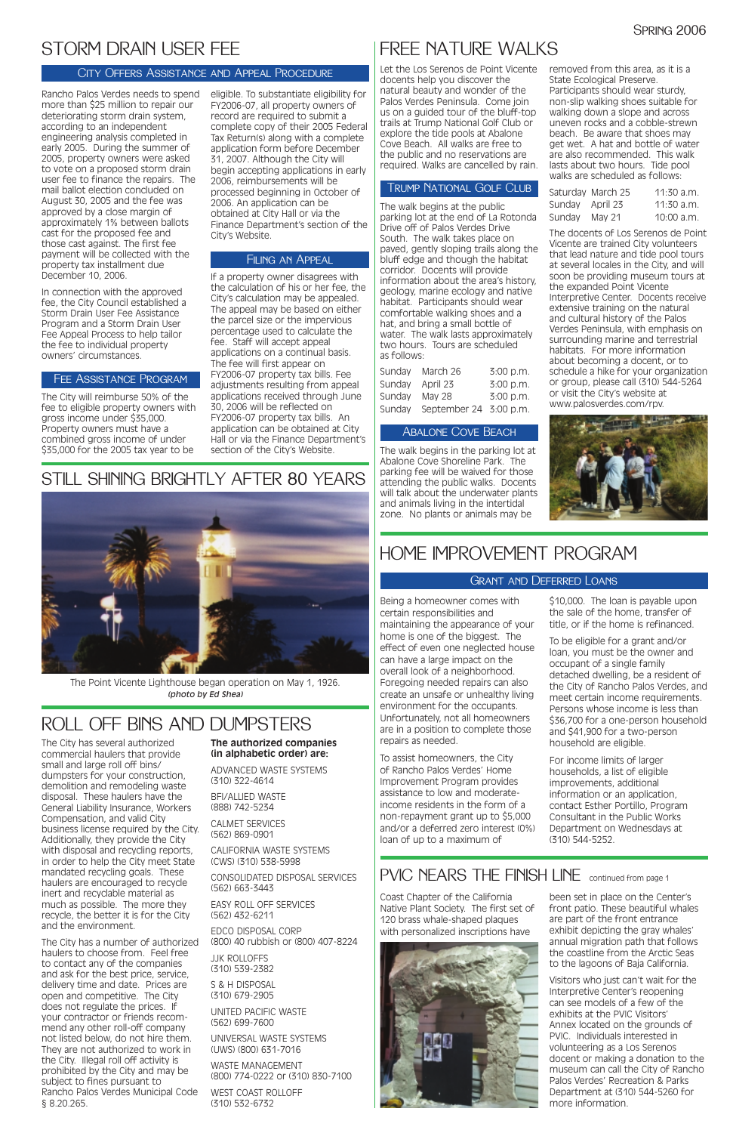Let the Los Serenos de Point Vicente docents help you discover the natural beauty and wonder of the Palos Verdes Peninsula. Come join us on a guided tour of the bluff-top trails at Trump National Golf Club or explore the tide pools at Abalone Cove Beach. All walks are free to the public and no reservations are required. Walks are cancelled by rain.

The walk begins at the public parking lot at the end of La Rotonda Drive off of Palos Verdes Drive South. The walk takes place on paved, gently sloping trails along the bluff edge and though the habitat corridor. Docents will provide information about the area's history, geology, marine ecology and native habitat. Participants should wear comfortable walking shoes and a hat, and bring a small bottle of water. The walk lasts approximately two hours. Tours are scheduled as follows:

| March 26      | 3:00 p.m.              |
|---------------|------------------------|
| April 23      | 3:00 p.m.              |
| <b>May 28</b> | 3:00 p.m.              |
|               |                        |
|               | September 24 3:00 p.m. |

The walk begins in the parking lot at Abalone Cove Shoreline Park. The parking fee will be waived for those attending the public walks. Docents will talk about the underwater plants and animals living in the intertidal zone. No plants or animals may be

removed from this area, as it is a State Ecological Preserve. Participants should wear sturdy, non-slip walking shoes suitable for walking down a slope and across uneven rocks and a cobble-strewn beach. Be aware that shoes may get wet. A hat and bottle of water are also recommended. This walk lasts about two hours. Tide pool walks are scheduled as follows:

|                 | Saturday March 25 | $11:30$ a.m. |
|-----------------|-------------------|--------------|
| Sunday April 23 |                   | $11:30$ a.m. |
| Sunday          | May 21            | $10:00$ a.m. |

The docents of Los Serenos de Point Vicente are trained City volunteers that lead nature and tide pool tours at several locales in the City, and will soon be providing museum tours at the expanded Point Vicente Interpretive Center. Docents receive extensive training on the natural and cultural history of the Palos Verdes Peninsula, with emphasis on surrounding marine and terrestrial habitats. For more information about becoming a docent, or to schedule a hike for your organization or group, please call (310) 544-5264 or visit the City's website at www.palosverdes.com/rpv.



Being a homeowner comes with certain responsibilities and maintaining the appearance of your home is one of the biggest. The effect of even one neglected house can have a large impact on the overall look of a neighborhood. Foregoing needed repairs can also create an unsafe or unhealthy living environment for the occupants. Unfortunately, not all homeowners are in a position to complete those repairs as needed.

To assist homeowners, the City of Rancho Palos Verdes' Home Improvement Program provides assistance to low and moderateincome residents in the form of a non-repayment grant up to \$5,000 and/or a deferred zero interest (0%)

loan of up to a maximum of

## PVIC NEARS THE FINISH LINE continued from page 1

\$10,000. The loan is payable upon the sale of the home, transfer of title, or if the home is refinanced.

To be eligible for a grant and/or loan, you must be the owner and occupant of a single family detached dwelling, be a resident of the City of Rancho Palos Verdes, and meet certain income requirements. Persons whose income is less than \$36,700 for a one-person household and \$41,900 for a two-person household are eligible.

For income limits of larger households, a list of eligible improvements, additional information or an application, contact Esther Portillo, Program Consultant in the Public Works Department on Wednesdays at (310) 544-5252.

## HOME IMPROVEMENT PROGRAM

### Grant and Deferred Loans

Rancho Palos Verdes needs to spend more than \$25 million to repair our deteriorating storm drain system, according to an independent engineering analysis completed in early 2005. During the summer of 2005, property owners were asked to vote on a proposed storm drain user fee to finance the repairs. The mail ballot election concluded on August 30, 2005 and the fee was approved by a close margin of approximately 1% between ballots cast for the proposed fee and those cast against. The first fee payment will be collected with the property tax installment due December 10, 2006.

In connection with the approved fee, the City Council established a Storm Drain User Fee Assistance Program and a Storm Drain User Fee Appeal Process to help tailor the fee to individual property owners' circumstances.

The City will reimburse 50% of the fee to eligible property owners with gross income under \$35,000. Property owners must have a combined gross income of under \$35,000 for the 2005 tax year to be

eligible. To substantiate eligibility for FY2006-07, all property owners of record are required to submit a complete copy of their 2005 Federal Tax Return(s) along with a complete application form before December 31, 2007. Although the City will begin accepting applications in early 2006, reimbursements will be processed beginning in October of 2006. An application can be obtained at City Hall or via the Finance Department's section of the City's Website.

If a property owner disagrees with the calculation of his or her fee, the City's calculation may be appealed. The appeal may be based on either the parcel size or the impervious percentage used to calculate the fee. Staff will accept appeal applications on a continual basis. The fee will first appear on FY2006-07 property tax bills. Fee adjustments resulting from appeal applications received through June 30, 2006 will be reflected on FY2006-07 property tax bills. An application can be obtained at City Hall or via the Finance Department's section of the City's Website.

## STILL SHINING BRIGHTLY AFTER 80 YEARS



## STORM DRAIN USER FEE

### City Offers Assistance and Appeal Procedure

The City has several authorized commercial haulers that provide small and large roll off bins/ dumpsters for your construction, demolition and remodeling waste disposal. These haulers have the General Liability Insurance, Workers Compensation, and valid City business license required by the City. Additionally, they provide the City with disposal and recycling reports, in order to help the City meet State mandated recycling goals. These haulers are encouraged to recycle inert and recyclable material as much as possible. The more they recycle, the better it is for the City and the environment. The City has a number of authorized haulers to choose from. Feel free to contact any of the companies and ask for the best price, service, delivery time and date. Prices are open and competitive. The City does not regulate the prices. If your contractor or friends recommend any other roll-off company not listed below, do not hire them. They are not authorized to work in the City. Illegal roll off activity is prohibited by the City and may be subject to fines pursuant to Rancho Palos Verdes Municipal Code § 8.20.265.

### **The authorized companies (in alphabetic order) are:**

ADVANCED WASTE SYSTEMS (310) 322-4614

BFI/ALLIED WASTE (888) 742-5234

CALMET SERVICES

## FREE NATURE WALKS

(562) 869-0901

CALIFORNIA WASTE SYSTEMS (CWS) (310) 538-5998

CONSOLIDATED DISPOSAL SERVICES (562) 663-3443

EASY ROLL OFF SERVICES (562) 432-6211

EDCO DISPOSAL CORP (800) 40 rubbish or (800) 407-8224

JJK ROLLOFFS (310) 539-2382

S & H DISPOSAL (310) 679-2905

UNITED PACIFIC WASTE (562) 699-7600

UNIVERSAL WASTE SYSTEMS (UWS) (800) 631-7016

WASTE MANAGEMENT (800) 774-0222 or (310) 830-7100

WEST COAST ROLLOFF (310) 532-6732

## ROLL OFF BINS AND DUMPSTERS

### Fee Assistance Program

### Filing an Appeal

### Trump National Golf Club

### Abalone Cove Beach

Coast Chapter of the California Native Plant Society. The first set of 120 brass whale-shaped plaques with personalized inscriptions have



been set in place on the Center's front patio. These beautiful whales are part of the front entrance exhibit depicting the gray whales' annual migration path that follows the coastline from the Arctic Seas to the lagoons of Baja California.

Visitors who just can't wait for the Interpretive Center's reopening can see models of a few of the exhibits at the PVIC Visitors' Annex located on the grounds of PVIC. Individuals interested in volunteering as a Los Serenos docent or making a donation to the museum can call the City of Rancho Palos Verdes' Recreation & Parks Department at (310) 544-5260 for more information.

The Point Vicente Lighthouse began operation on May 1, 1926. *(photo by Ed Shea)*